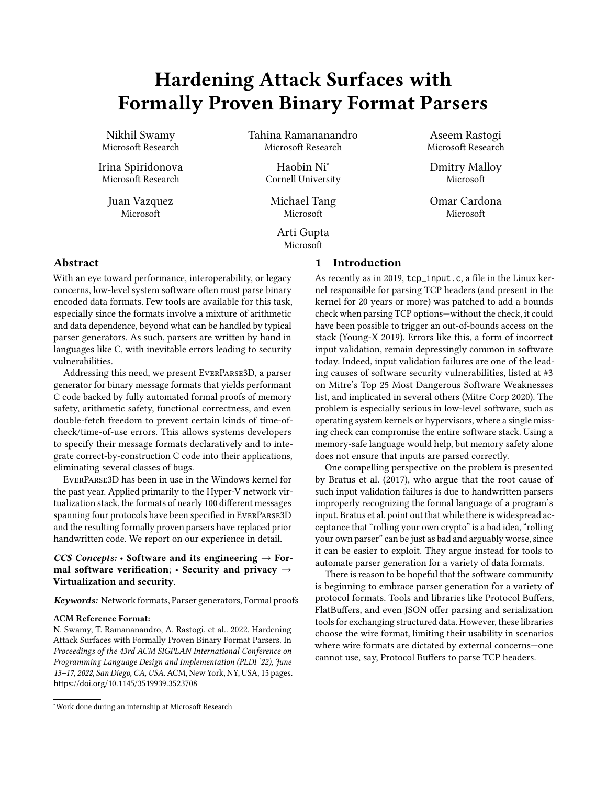# Hardening Attack Surfaces with Formally Proven Binary Format Parsers

Nikhil Swamy Microsoft Research

Irina Spiridonova Microsoft Research

> Juan Vazquez Microsoft

Tahina Ramananandro Microsoft Research

> Haobin Ni<sup>∗</sup> Cornell University

Michael Tang Microsoft

Arti Gupta Microsoft

Aseem Rastogi Microsoft Research

Dmitry Malloy Microsoft

Omar Cardona Microsoft

## Abstract

With an eye toward performance, interoperability, or legacy concerns, low-level system software often must parse binary encoded data formats. Few tools are available for this task, especially since the formats involve a mixture of arithmetic and data dependence, beyond what can be handled by typical parser generators. As such, parsers are written by hand in languages like C, with inevitable errors leading to security vulnerabilities.

Addressing this need, we present EverParse3D, a parser generator for binary message formats that yields performant C code backed by fully automated formal proofs of memory safety, arithmetic safety, functional correctness, and even double-fetch freedom to prevent certain kinds of time-ofcheck/time-of-use errors. This allows systems developers to specify their message formats declaratively and to integrate correct-by-construction C code into their applications, eliminating several classes of bugs.

EverParse3D has been in use in the Windows kernel for the past year. Applied primarily to the Hyper-V network virtualization stack, the formats of nearly 100 different messages spanning four protocols have been specified in EverParse3D and the resulting formally proven parsers have replaced prior handwritten code. We report on our experience in detail.

## CCS Concepts:  $\cdot$  Software and its engineering  $\rightarrow$  Formal software verification; • Security and privacy  $\rightarrow$ Virtualization and security.

Keywords: Network formats, Parser generators, Formal proofs

#### ACM Reference Format:

N. Swamy, T. Ramananandro, A. Rastogi, et al.. 2022. Hardening Attack Surfaces with Formally Proven Binary Format Parsers. In Proceedings of the 43rd ACM SIGPLAN International Conference on Programming Language Design and Implementation (PLDI '22), June 13–17, 2022, San Diego, CA, USA. ACM, New York, NY, USA, [15](#page-14-0) pages. <https://doi.org/10.1145/3519939.3523708>

## 1 Introduction

As recently as in 2019, tcp\_input.c, a file in the Linux kernel responsible for parsing TCP headers (and present in the kernel for 20 years or more) was patched to add a bounds check when parsing TCP options—without the check, it could have been possible to trigger an out-of-bounds access on the stack [\(Young-X 2019\)](#page-14-1). Errors like this, a form of incorrect input validation, remain depressingly common in software today. Indeed, input validation failures are one of the leading causes of software security vulnerabilities, listed at #3 on Mitre's Top 25 Most Dangerous Software Weaknesses list, and implicated in several others [\(Mitre Corp 2020\)](#page-14-2). The problem is especially serious in low-level software, such as operating system kernels or hypervisors, where a single missing check can compromise the entire software stack. Using a memory-safe language would help, but memory safety alone does not ensure that inputs are parsed correctly.

One compelling perspective on the problem is presented by [Bratus et al.](#page-13-0) [\(2017\)](#page-13-0), who argue that the root cause of such input validation failures is due to handwritten parsers improperly recognizing the formal language of a program's input. Bratus et al. point out that while there is widespread acceptance that "rolling your own crypto" is a bad idea, "rolling your own parser" can be just as bad and arguably worse, since it can be easier to exploit. They argue instead for tools to automate parser generation for a variety of data formats.

There is reason to be hopeful that the software community is beginning to embrace parser generation for a variety of protocol formats. Tools and libraries like Protocol Buffers, FlatBuffers, and even JSON offer parsing and serialization tools for exchanging structured data. However, these libraries choose the wire format, limiting their usability in scenarios where wire formats are dictated by external concerns—one cannot use, say, Protocol Buffers to parse TCP headers.

<sup>∗</sup>Work done during an internship at Microsoft Research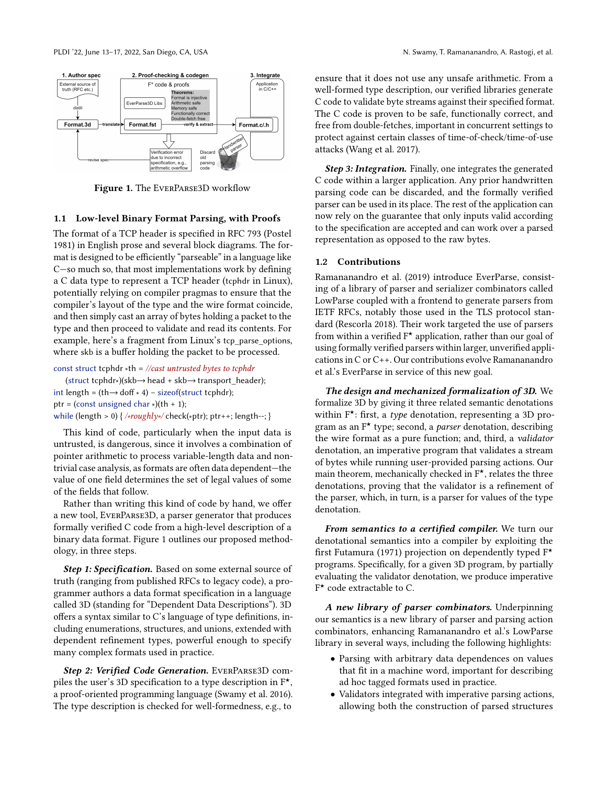<span id="page-1-0"></span>

Figure 1. The EverParse3D workflow

#### 1.1 Low-level Binary Format Parsing, with Proofs

The format of a TCP header is specified in RFC 793 [\(Postel](#page-14-3) [1981\)](#page-14-3) in English prose and several block diagrams. The format is designed to be efficiently "parseable" in a language like C—so much so, that most implementations work by defining a C data type to represent a TCP header (tcphdr in Linux), potentially relying on compiler pragmas to ensure that the compiler's layout of the type and the wire format coincide, and then simply cast an array of bytes holding a packet to the type and then proceed to validate and read its contents. For example, here's a fragment from Linux's tcp parse options, where skb is a buffer holding the packet to be processed.

const struct tcphdr  $*$ th = //cast untrusted bytes to tcphdr (struct tcphdr∗)(skb→head + skb→transport\_header); int length =  $(th \rightarrow dof * 4)$  – sizeof(struct tcphdr); ptr = (const unsigned char  $*(th + 1);$ while (length > 0) {  $\sqrt{\sqrt{x}}$  /\*roughly\*/ check(\*ptr); ptr++; length--; }

This kind of code, particularly when the input data is untrusted, is dangerous, since it involves a combination of pointer arithmetic to process variable-length data and nontrivial case analysis, as formats are often data dependent—the value of one field determines the set of legal values of some of the fields that follow.

Rather than writing this kind of code by hand, we offer a new tool, EverParse3D, a parser generator that produces formally verified C code from a high-level description of a binary data format. Figure [1](#page-1-0) outlines our proposed methodology, in three steps.

Step 1: Specification. Based on some external source of truth (ranging from published RFCs to legacy code), a programmer authors a data format specification in a language called 3D (standing for "Dependent Data Descriptions"). 3D offers a syntax similar to C's language of type definitions, including enumerations, structures, and unions, extended with dependent refinement types, powerful enough to specify many complex formats used in practice.

Step 2: Verified Code Generation. EverParse3D compiles the user's 3D specification to a type description in F★, a proof-oriented programming language [\(Swamy et al.](#page-14-4) [2016\)](#page-14-4). The type description is checked for well-formedness, e.g., to

ensure that it does not use any unsafe arithmetic. From a well-formed type description, our verified libraries generate C code to validate byte streams against their specified format. The C code is proven to be safe, functionally correct, and free from double-fetches, important in concurrent settings to protect against certain classes of time-of-check/time-of-use attacks [\(Wang et al. 2017\)](#page-14-5).

Step 3: Integration. Finally, one integrates the generated C code within a larger application. Any prior handwritten parsing code can be discarded, and the formally verified parser can be used in its place. The rest of the application can now rely on the guarantee that only inputs valid according to the specification are accepted and can work over a parsed representation as opposed to the raw bytes.

## 1.2 Contributions

[Ramananandro et al.](#page-14-6) [\(2019\)](#page-14-6) introduce EverParse, consisting of a library of parser and serializer combinators called LowParse coupled with a frontend to generate parsers from IETF RFCs, notably those used in the TLS protocol standard [\(Rescorla 2018\)](#page-14-7). Their work targeted the use of parsers from within a verified  $F^*$  application, rather than our goal of using formally verified parsers within larger, unverified applications in C or C++. Our contributions evolve Ramananandro et al.'s EverParse in service of this new goal.

The design and mechanized formalization of 3D. We formalize 3D by giving it three related semantic denotations within  $F^*$ : first, a type denotation, representing a 3D program as an  $F^{\star}$  type; second, a *parser* denotation, describing the wire format as a pure function; and, third, a validator denotation, an imperative program that validates a stream of bytes while running user-provided parsing actions. Our main theorem, mechanically checked in F★, relates the three denotations, proving that the validator is a refinement of the parser, which, in turn, is a parser for values of the type denotation.

From semantics to a certified compiler. We turn our denotational semantics into a compiler by exploiting the first [Futamura \(1971\)](#page-13-1) projection on dependently typed F★ programs. Specifically, for a given 3D program, by partially evaluating the validator denotation, we produce imperative F ★ code extractable to C.

A new library of parser combinators. Underpinning our semantics is a new library of parser and parsing action combinators, enhancing Ramananandro et al.'s LowParse library in several ways, including the following highlights:

- Parsing with arbitrary data dependences on values that fit in a machine word, important for describing ad hoc tagged formats used in practice.
- Validators integrated with imperative parsing actions, allowing both the construction of parsed structures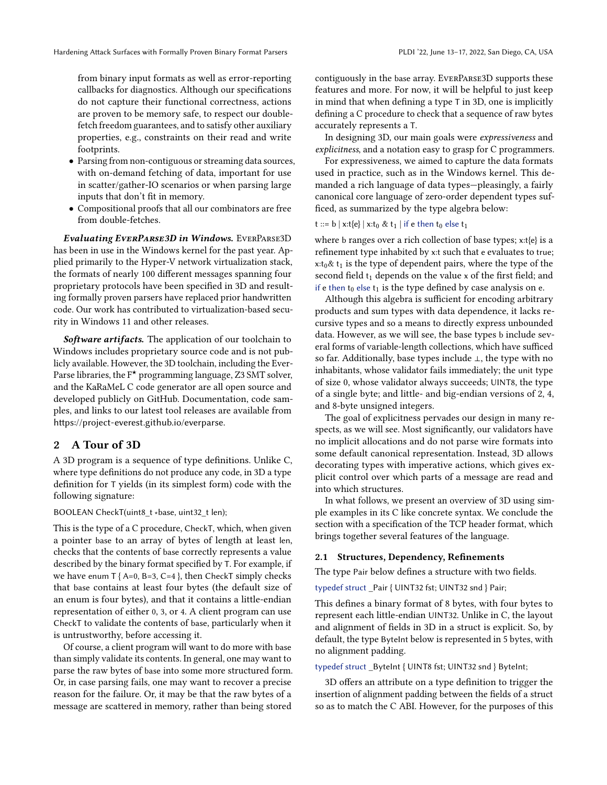from binary input formats as well as error-reporting callbacks for diagnostics. Although our specifications do not capture their functional correctness, actions are proven to be memory safe, to respect our doublefetch freedom guarantees, and to satisfy other auxiliary properties, e.g., constraints on their read and write footprints.

- Parsing from non-contiguous or streaming data sources, with on-demand fetching of data, important for use in scatter/gather-IO scenarios or when parsing large inputs that don't fit in memory.
- Compositional proofs that all our combinators are free from double-fetches.

Evaluating EverParse3D in Windows. EverParse3D has been in use in the Windows kernel for the past year. Applied primarily to the Hyper-V network virtualization stack, the formats of nearly 100 different messages spanning four proprietary protocols have been specified in 3D and resulting formally proven parsers have replaced prior handwritten code. Our work has contributed to virtualization-based security in Windows 11 and other releases.

Software artifacts. The application of our toolchain to Windows includes proprietary source code and is not publicly available. However, the 3D toolchain, including the Ever-Parse libraries, the  $F^{\star}$  programming language, Z3 SMT solver, and the KaRaMeL C code generator are all open source and developed publicly on GitHub. Documentation, code samples, and links to our latest tool releases are available from <https://project-everest.github.io/everparse>.

## <span id="page-2-0"></span>2 A Tour of 3D

A 3D program is a sequence of type definitions. Unlike C, where type definitions do not produce any code, in 3D a type definition for T yields (in its simplest form) code with the following signature:

BOOLEAN CheckT(uint8\_t ∗base, uint32\_t len);

This is the type of a C procedure, CheckT, which, when given a pointer base to an array of bytes of length at least len, checks that the contents of base correctly represents a value described by the binary format specified by T. For example, if we have enum  $T$  { A=0, B=3, C=4 }, then CheckT simply checks that base contains at least four bytes (the default size of an enum is four bytes), and that it contains a little-endian representation of either 0, 3, or 4. A client program can use CheckT to validate the contents of base, particularly when it is untrustworthy, before accessing it.

Of course, a client program will want to do more with base than simply validate its contents. In general, one may want to parse the raw bytes of base into some more structured form. Or, in case parsing fails, one may want to recover a precise reason for the failure. Or, it may be that the raw bytes of a message are scattered in memory, rather than being stored

contiguously in the base array. EverParse3D supports these features and more. For now, it will be helpful to just keep in mind that when defining a type T in 3D, one is implicitly defining a C procedure to check that a sequence of raw bytes accurately represents a T.

In designing 3D, our main goals were expressiveness and explicitness, and a notation easy to grasp for C programmers.

For expressiveness, we aimed to capture the data formats used in practice, such as in the Windows kernel. This demanded a rich language of data types—pleasingly, a fairly canonical core language of zero-order dependent types sufficed, as summarized by the type algebra below:

t ::= b | x:t{e} | x:t<sub>0</sub> & t<sub>1</sub> | if e then t<sub>0</sub> else t<sub>1</sub>

where b ranges over a rich collection of base types; x:t{e} is a refinement type inhabited by x:t such that e evaluates to true;  $x:t_0\& t_1$  is the type of dependent pairs, where the type of the second field  $t_1$  depends on the value x of the first field; and if e then  $t_0$  else  $t_1$  is the type defined by case analysis on e.

Although this algebra is sufficient for encoding arbitrary products and sum types with data dependence, it lacks recursive types and so a means to directly express unbounded data. However, as we will see, the base types b include several forms of variable-length collections, which have sufficed so far. Additionally, base types include ⊥, the type with no inhabitants, whose validator fails immediately; the unit type of size 0, whose validator always succeeds; UINT8, the type of a single byte; and little- and big-endian versions of 2, 4, and 8-byte unsigned integers.

The goal of explicitness pervades our design in many respects, as we will see. Most significantly, our validators have no implicit allocations and do not parse wire formats into some default canonical representation. Instead, 3D allows decorating types with imperative actions, which gives explicit control over which parts of a message are read and into which structures.

In what follows, we present an overview of 3D using simple examples in its C like concrete syntax. We conclude the section with a specification of the TCP header format, which brings together several features of the language.

#### 2.1 Structures, Dependency, Refinements

The type Pair below defines a structure with two fields.

typedef struct \_Pair { UINT32 fst; UINT32 snd } Pair;

This defines a binary format of 8 bytes, with four bytes to represent each little-endian UINT32. Unlike in C, the layout and alignment of fields in 3D in a struct is explicit. So, by default, the type ByteInt below is represented in 5 bytes, with no alignment padding.

typedef struct \_ByteInt { UINT8 fst; UINT32 snd } ByteInt;

3D offers an attribute on a type definition to trigger the insertion of alignment padding between the fields of a struct so as to match the C ABI. However, for the purposes of this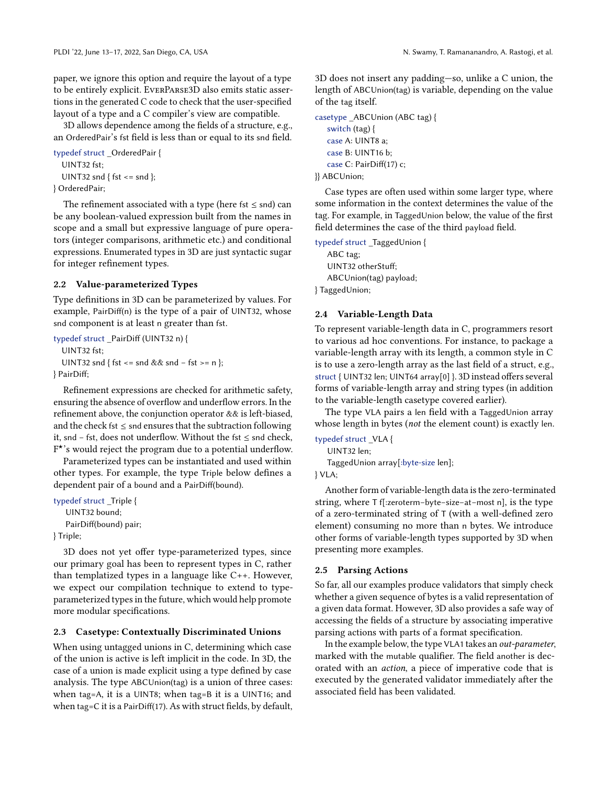paper, we ignore this option and require the layout of a type to be entirely explicit. EverParse3D also emits static assertions in the generated C code to check that the user-specified layout of a type and a C compiler's view are compatible.

3D allows dependence among the fields of a structure, e.g., an OrderedPair's fst field is less than or equal to its snd field.

```
typedef struct _OrderedPair {
  UINT32 fst;
  UINT32 snd { fst <= snd };
} OrderedPair;
```
The refinement associated with a type (here fst  $\leq$  snd) can be any boolean-valued expression built from the names in scope and a small but expressive language of pure operators (integer comparisons, arithmetic etc.) and conditional expressions. Enumerated types in 3D are just syntactic sugar for integer refinement types.

#### 2.2 Value-parameterized Types

Type definitions in 3D can be parameterized by values. For example, PairDiff(n) is the type of a pair of UINT32, whose snd component is at least n greater than fst.

```
typedef struct _PairDiff (UINT32 n) {
  UINT32 fst;
  UINT32 snd { fst <= snd && snd − fst >= n };
} PairDiff;
```
Refinement expressions are checked for arithmetic safety, ensuring the absence of overflow and underflow errors. In the refinement above, the conjunction operator && is left-biased, and the check fst  $\leq$  snd ensures that the subtraction following it, snd − fst, does not underflow. Without the fst ≤ snd check, F ★'s would reject the program due to a potential underflow.

Parameterized types can be instantiated and used within other types. For example, the type Triple below defines a dependent pair of a bound and a PairDiff(bound).

```
typedef struct _Triple {
   UINT32 bound;
```

```
PairDiff(bound) pair;
```
} Triple;

3D does not yet offer type-parameterized types, since our primary goal has been to represent types in C, rather than templatized types in a language like C++. However, we expect our compilation technique to extend to typeparameterized types in the future, which would help promote more modular specifications.

## 2.3 Casetype: Contextually Discriminated Unions

When using untagged unions in C, determining which case of the union is active is left implicit in the code. In 3D, the case of a union is made explicit using a type defined by case analysis. The type ABCUnion(tag) is a union of three cases: when tag=A, it is a UINT8; when tag=B it is a UINT16; and when tag=C it is a PairDiff(17). As with struct fields, by default,

3D does not insert any padding—so, unlike a C union, the length of ABCUnion(tag) is variable, depending on the value of the tag itself.

```
casetype _ABCUnion (ABC tag) {
   switch (tag) {
   case A: UINT8 a;
   case B: UINT16 b;
   case C: PairDiff(17) c;
}} ABCUnion;
```
Case types are often used within some larger type, where some information in the context determines the value of the tag. For example, in TaggedUnion below, the value of the first field determines the case of the third payload field.

typedef struct \_TaggedUnion { ABC tag; UINT32 otherStuff; ABCUnion(tag) payload; } TaggedUnion;

## 2.4 Variable-Length Data

To represent variable-length data in C, programmers resort to various ad hoc conventions. For instance, to package a variable-length array with its length, a common style in C is to use a zero-length array as the last field of a struct, e.g., struct { UINT32 len; UINT64 array[0] }. 3D instead offers several forms of variable-length array and string types (in addition to the variable-length casetype covered earlier).

The type VLA pairs a len field with a TaggedUnion array whose length in bytes (not the element count) is exactly len.

typedef struct \_VLA { UINT32 len; TaggedUnion array[:byte-size len]; } VLA;

Another form of variable-length data is the zero-terminated string, where T f[:zeroterm−byte−size−at−most n], is the type of a zero-terminated string of T (with a well-defined zero element) consuming no more than n bytes. We introduce other forms of variable-length types supported by 3D when presenting more examples.

#### 2.5 Parsing Actions

So far, all our examples produce validators that simply check whether a given sequence of bytes is a valid representation of a given data format. However, 3D also provides a safe way of accessing the fields of a structure by associating imperative parsing actions with parts of a format specification.

In the example below, the type VLA1 takes an out-parameter, marked with the mutable qualifier. The field another is decorated with an action, a piece of imperative code that is executed by the generated validator immediately after the associated field has been validated.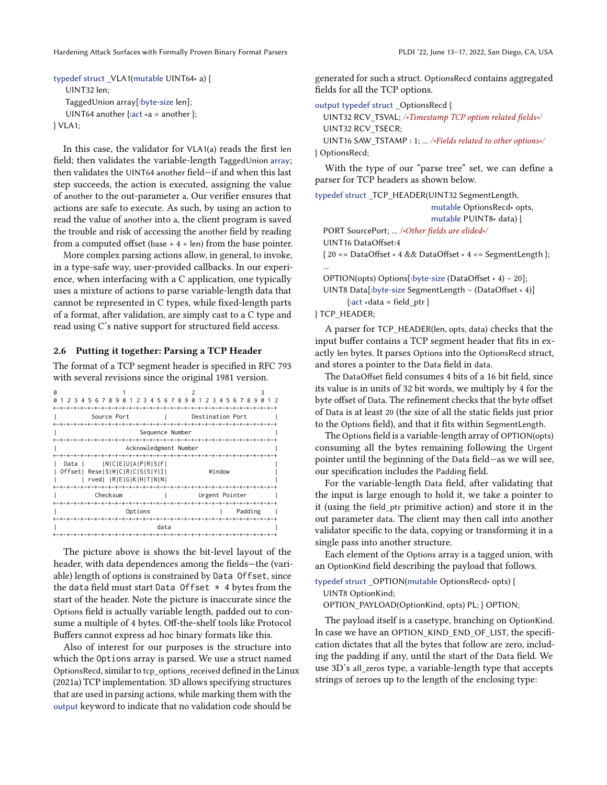In this case, the validator for VLA1(a) reads the first len field; then validates the variable-length TaggedUnion array; then validates the UINT64 another field—if and when this last step succeeds, the action is executed, assigning the value of another to the out-parameter a. Our verifier ensures that actions are safe to execute. As such, by using an action to read the value of another into a, the client program is saved the trouble and risk of accessing the another field by reading from a computed offset (base  $+4 + len$ ) from the base pointer.

More complex parsing actions allow, in general, to invoke, in a type-safe way, user-provided callbacks. In our experience, when interfacing with a C application, one typically uses a mixture of actions to parse variable-length data that cannot be represented in C types, while fixed-length parts of a format, after validation, are simply cast to a C type and read using C's native support for structured field access.

#### 2.6 Putting it together: Parsing a TCP Header

The format of a TCP segment header is specified in [RFC 793](https://datatracker.ietf.org/doc/html/rfc793) with several revisions since the original 1981 version.

|                       |         | 3      | 4 |  |  |  | 5678901                        |  |                  |  |  | 23 | 4 | .5 |  | 6789           |  |  | 0 |  | 2 |  | 34     | 5. |  | 678 | 9 |  |  |  |
|-----------------------|---------|--------|---|--|--|--|--------------------------------|--|------------------|--|--|----|---|----|--|----------------|--|--|---|--|---|--|--------|----|--|-----|---|--|--|--|
|                       |         |        |   |  |  |  |                                |  |                  |  |  |    |   |    |  |                |  |  |   |  |   |  |        |    |  |     |   |  |  |  |
| Source Port           |         |        |   |  |  |  |                                |  | Destination Port |  |  |    |   |    |  |                |  |  |   |  |   |  |        |    |  |     |   |  |  |  |
|                       |         |        |   |  |  |  |                                |  |                  |  |  |    |   |    |  |                |  |  |   |  |   |  |        |    |  |     |   |  |  |  |
| Sequence Number       |         |        |   |  |  |  |                                |  |                  |  |  |    |   |    |  |                |  |  |   |  |   |  |        |    |  |     |   |  |  |  |
|                       |         |        |   |  |  |  |                                |  |                  |  |  |    |   |    |  |                |  |  |   |  |   |  |        |    |  |     |   |  |  |  |
| Acknowledgment Number |         |        |   |  |  |  |                                |  |                  |  |  |    |   |    |  |                |  |  |   |  |   |  |        |    |  |     |   |  |  |  |
|                       |         |        |   |  |  |  |                                |  |                  |  |  |    |   |    |  |                |  |  |   |  |   |  |        |    |  |     |   |  |  |  |
|                       |         | Data I |   |  |  |  | N C E U A P R S F              |  |                  |  |  |    |   |    |  |                |  |  |   |  |   |  |        |    |  |     |   |  |  |  |
|                       |         |        |   |  |  |  | Offset  Rese S W C R C S S Y I |  |                  |  |  |    |   |    |  |                |  |  |   |  |   |  | Window |    |  |     |   |  |  |  |
|                       |         |        |   |  |  |  | rved   R E G K H T N N         |  |                  |  |  |    |   |    |  |                |  |  |   |  |   |  |        |    |  |     |   |  |  |  |
|                       |         |        |   |  |  |  |                                |  |                  |  |  |    |   |    |  |                |  |  |   |  |   |  |        |    |  |     |   |  |  |  |
|                       |         |        |   |  |  |  | Checksum                       |  |                  |  |  |    |   |    |  | Urgent Pointer |  |  |   |  |   |  |        |    |  |     |   |  |  |  |
|                       |         |        |   |  |  |  |                                |  |                  |  |  |    |   |    |  |                |  |  |   |  |   |  |        |    |  |     |   |  |  |  |
|                       | Options |        |   |  |  |  |                                |  | Padding          |  |  |    |   |    |  |                |  |  |   |  |   |  |        |    |  |     |   |  |  |  |
|                       |         |        |   |  |  |  |                                |  |                  |  |  |    |   |    |  |                |  |  |   |  |   |  |        |    |  |     |   |  |  |  |
| data                  |         |        |   |  |  |  |                                |  |                  |  |  |    |   |    |  |                |  |  |   |  |   |  |        |    |  |     |   |  |  |  |
|                       |         |        |   |  |  |  |                                |  |                  |  |  |    |   |    |  |                |  |  |   |  |   |  |        |    |  |     |   |  |  |  |

The picture above is shows the bit-level layout of the header, with data dependences among the fields—the (variable) length of options is constrained by Data Offset, since the data field must start Data Offset  $*$  4 bytes from the start of the header. Note the picture is inaccurate since the Options field is actually variable length, padded out to consume a multiple of 4 bytes. Off-the-shelf tools like Protocol Buffers cannot express ad hoc binary formats like this.

Also of interest for our purposes is the structure into which the Options array is parsed. We use a struct named OptionsRecd, similar to tcp\_options\_received defined in the [Linux](#page-14-8) [\(2021a\)](#page-14-8) TCP implementation. 3D allows specifying structures that are used in parsing actions, while marking them with the output keyword to indicate that no validation code should be

generated for such a struct. OptionsRecd contains aggregated fields for all the TCP options.

output typedef struct \_OptionsRecd {

```
UINT32 RCV_TSVAL; /∗Timestamp TCP option related fields∗/
  UINT32 RCV_TSECR;
  UINT16 SAW_TSTAMP : 1; ... /∗Fields related to other options∗/
} OptionsRecd;
```
With the type of our "parse tree" set, we can define a parser for TCP headers as shown below.

| typedef struct _TCP_HEADER(UINT32 SegmentLength, |                                                                                            |
|--------------------------------------------------|--------------------------------------------------------------------------------------------|
|                                                  | mutable OptionsRecd* opts,                                                                 |
|                                                  | mutable PUINT8* data) {                                                                    |
| PORT SourcePort;  /*Other fields are elided*/    |                                                                                            |
| UINT <sub>16</sub> DataOffset:4                  |                                                                                            |
|                                                  | $\{20 \leq D \text{ataOffset} * 4 \&\&\text{DataOffset} * 4 \leq S \text{egmentLength}\};$ |
|                                                  |                                                                                            |
|                                                  | OPTION(opts) Options[:byte-size (DataOffset * 4) - 20];                                    |

UINT8 Data[:byte-size SegmentLength − (DataOffset ∗ 4)]  $\{ \text{:act} * \text{data} = \text{field} \text{ptr} \}$ 

} TCP\_HEADER;

A parser for TCP\_HEADER(len, opts, data) checks that the input buffer contains a TCP segment header that fits in exactly len bytes. It parses Options into the OptionsRecd struct, and stores a pointer to the Data field in data.

The DataOffset field consumes 4 bits of a 16 bit field, since its value is in units of 32 bit words, we multiply by 4 for the byte offset of Data. The refinement checks that the byte offset of Data is at least 20 (the size of all the static fields just prior to the Options field), and that it fits within SegmentLength.

The Options field is a variable-length array of OPTION(opts) consuming all the bytes remaining following the Urgent pointer until the beginning of the Data field—as we will see, our specification includes the Padding field.

For the variable-length Data field, after validating that the input is large enough to hold it, we take a pointer to it (using the field\_ptr primitive action) and store it in the out parameter data. The client may then call into another validator specific to the data, copying or transforming it in a single pass into another structure.

Each element of the Options array is a tagged union, with an OptionKind field describing the payload that follows.

```
typedef struct _OPTION(mutable OptionsRecd∗ opts) {
  UINT8 OptionKind;
```
OPTION\_PAYLOAD(OptionKind, opts) PL; } OPTION;

The payload itself is a casetype, branching on OptionKind. In case we have an OPTION\_KIND\_END\_OF\_LIST, the specification dictates that all the bytes that follow are zero, including the padding if any, until the start of the Data field. We use 3D's all\_zeros type, a variable-length type that accepts strings of zeroes up to the length of the enclosing type: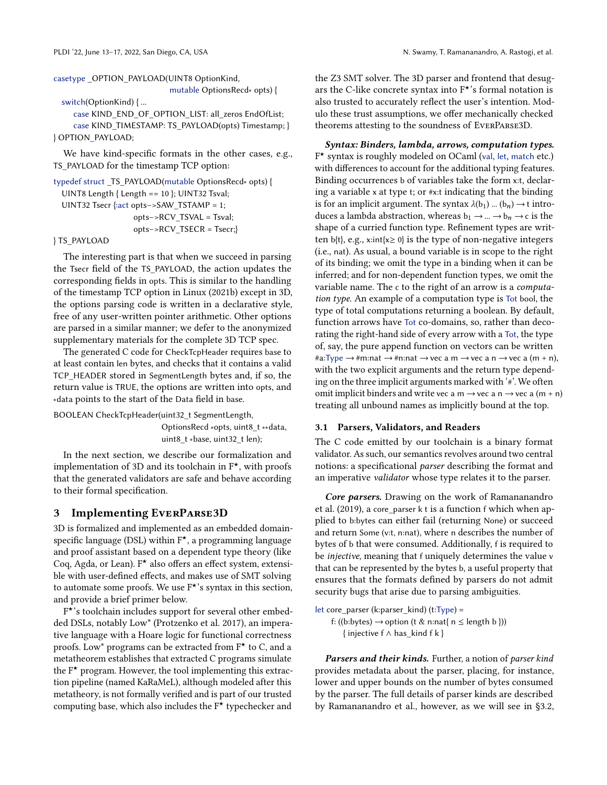casetype OPTION\_PAYLOAD(UINT8 OptionKind,

mutable OptionsRecd∗ opts) {

```
switch(OptionKind) { ...
```
case KIND\_END\_OF\_OPTION\_LIST: all\_zeros EndOfList; case KIND\_TIMESTAMP: TS\_PAYLOAD(opts) Timestamp; } } OPTION\_PAYLOAD;

We have kind-specific formats in the other cases, e.g., TS\_PAYLOAD for the timestamp TCP option:

```
typedef struct _TS_PAYLOAD(mutable OptionsRecd∗ opts) {
  UINT8 Length { Length == 10 }; UINT32 Tsval;
  UINT32 Tsecr {:act opts−>SAW_TSTAMP = 1;
                    opts−>RCV_TSVAL = Tsval;
                    opts−>RCV_TSECR = Tsecr;}
```
} TS\_PAYLOAD

The interesting part is that when we succeed in parsing the Tsecr field of the TS\_PAYLOAD, the action updates the corresponding fields in opts. This is similar to the handling of the timestamp TCP option in [Linux \(2021b\)](#page-14-9) except in 3D, the options parsing code is written in a declarative style, free of any user-written pointer arithmetic. Other options are parsed in a similar manner; we defer to the anonymized supplementary materials for the complete 3D TCP spec.

The generated C code for CheckTcpHeader requires base to at least contain len bytes, and checks that it contains a valid TCP\_HEADER stored in SegmentLength bytes and, if so, the return value is TRUE, the options are written into opts, and ∗data points to the start of the Data field in base.

BOOLEAN CheckTcpHeader(uint32\_t SegmentLength, OptionsRecd ∗opts, uint8\_t ∗∗data, uint8\_t ∗base, uint32\_t len);

In the next section, we describe our formalization and implementation of 3D and its toolchain in  $F^{\star}$ , with proofs that the generated validators are safe and behave according to their formal specification.

#### 3 Implementing EverParse3D

3D is formalized and implemented as an embedded domainspecific language (DSL) within  $F^{\star}$ , a programming language and proof assistant based on a dependent type theory (like Coq, Agda, or Lean). F★ also offers an effect system, extensible with user-defined effects, and makes use of SMT solving to automate some proofs. We use F★'s syntax in this section, and provide a brief primer below.

F ★'s toolchain includes support for several other embedded DSLs, notably Low\* [\(Protzenko et al.](#page-14-10) [2017\)](#page-14-10), an imperative language with a Hoare logic for functional correctness proofs. Low\* programs can be extracted from  $F^*$  to C, and a metatheorem establishes that extracted C programs simulate the  $F^{\star}$  program. However, the tool implementing this extraction pipeline (named KaRaMeL), although modeled after this metatheory, is not formally verified and is part of our trusted computing base, which also includes the F★ typechecker and

the Z3 SMT solver. The 3D parser and frontend that desugars the C-like concrete syntax into  $F^{\star}$ 's formal notation is also trusted to accurately reflect the user's intention. Modulo these trust assumptions, we offer mechanically checked theorems attesting to the soundness of EverParse3D.

Syntax: Binders, lambda, arrows, computation types. F ★ syntax is roughly modeled on OCaml (val, let, match etc.) with differences to account for the additional typing features. Binding occurrences b of variables take the form x:t, declaring a variable x at type t; or #x:t indicating that the binding is for an implicit argument. The syntax  $\lambda(b_1)$  ...  $(b_n) \rightarrow t$  introduces a lambda abstraction, whereas  $b_1 \rightarrow ... \rightarrow b_n \rightarrow c$  is the shape of a curried function type. Refinement types are written b{t}, e.g., x:int{x≥ 0} is the type of non-negative integers (i.e., nat). As usual, a bound variable is in scope to the right of its binding; we omit the type in a binding when it can be inferred; and for non-dependent function types, we omit the variable name. The c to the right of an arrow is a computation type. An example of a computation type is Tot bool, the type of total computations returning a boolean. By default, function arrows have Tot co-domains, so, rather than decorating the right-hand side of every arrow with a Tot, the type of, say, the pure append function on vectors can be written #a:Type  $\rightarrow$  #m:nat  $\rightarrow$  #n:nat  $\rightarrow$  vec a m  $\rightarrow$  vec a n  $\rightarrow$  vec a (m + n), with the two explicit arguments and the return type depending on the three implicit arguments marked with '#'. We often omit implicit binders and write vec a m  $\rightarrow$  vec a n  $\rightarrow$  vec a (m + n) treating all unbound names as implicitly bound at the top.

#### 3.1 Parsers, Validators, and Readers

The C code emitted by our toolchain is a binary format validator. As such, our semantics revolves around two central notions: a specificational parser describing the format and an imperative validator whose type relates it to the parser.

Core parsers. Drawing on the work of [Ramananandro](#page-14-6) [et al.](#page-14-6) [\(2019\)](#page-14-6), a core\_parser k t is a function f which when applied to b:bytes can either fail (returning None) or succeed and return Some (v:t, n:nat), where n describes the number of bytes of b that were consumed. Additionally, f is required to be injective, meaning that f uniquely determines the value v that can be represented by the bytes b, a useful property that ensures that the formats defined by parsers do not admit security bugs that arise due to parsing ambiguities.

let core parser (k:parser kind) (t:Type) = f: ((b:bytes)  $\rightarrow$  option (t & n:nat{ n  $\leq$  length b })) { injective f ∧ has\_kind f k }

Parsers and their kinds. Further, a notion of parser kind provides metadata about the parser, placing, for instance, lower and upper bounds on the number of bytes consumed by the parser. The full details of parser kinds are described by Ramananandro et al., however, as we will see in [§3.2,](#page-7-0)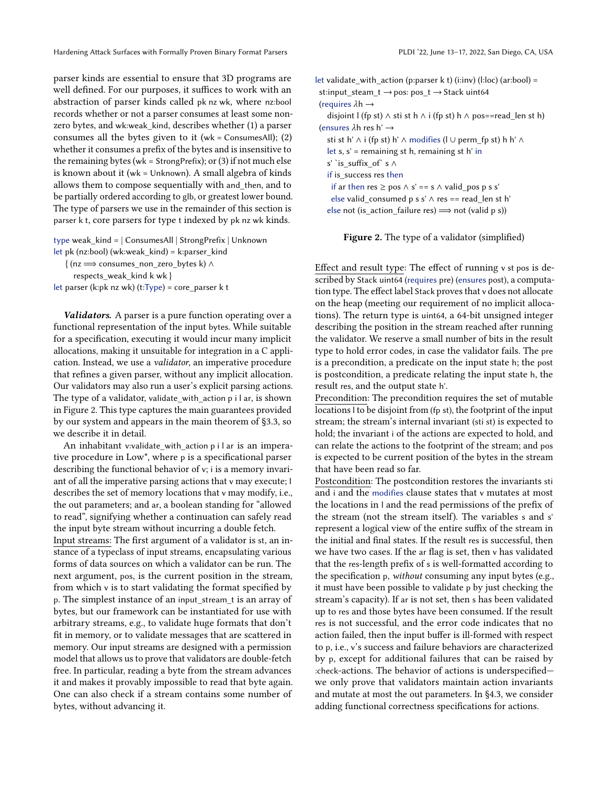Hardening Attack Surfaces with Formally Proven Binary Format Parsers Publi 22, June 13–17, 2022, San Diego, CA, USA

parser kinds are essential to ensure that 3D programs are well defined. For our purposes, it suffices to work with an abstraction of parser kinds called pk nz wk, where nz:bool records whether or not a parser consumes at least some nonzero bytes, and wk:weak\_kind, describes whether (1) a parser consumes all the bytes given to it (wk = ConsumesAll); (2) whether it consumes a prefix of the bytes and is insensitive to the remaining bytes (wk = StrongPrefix); or  $(3)$  if not much else is known about it (wk = Unknown). A small algebra of kinds allows them to compose sequentially with and\_then, and to be partially ordered according to glb, or greatest lower bound. The type of parsers we use in the remainder of this section is parser k t, core parsers for type t indexed by pk nz wk kinds.

```
type weak_kind = | ConsumesAll | StrongPrefix | Unknown
let pk (nz:bool) (wk:weak kind) = k:parser kind{ (nz =⇒ consumes_non_zero_bytes k) ∧
```
respects\_weak\_kind k wk }

let parser (k:pk nz wk) (t:Type) = core\_parser k t

Validators. A parser is a pure function operating over a functional representation of the input bytes. While suitable for a specification, executing it would incur many implicit allocations, making it unsuitable for integration in a C application. Instead, we use a validator, an imperative procedure that refines a given parser, without any implicit allocation. Our validators may also run a user's explicit parsing actions. The type of a validator, validate\_with\_action p i l ar, is shown in Figure [2.](#page-6-0) This type captures the main guarantees provided by our system and appears in the main theorem of [§3.3,](#page-8-0) so we describe it in detail.

An inhabitant v:validate\_with\_action p i l ar is an imperative procedure in Low\*, where p is a specificational parser describing the functional behavior of v; i is a memory invariant of all the imperative parsing actions that v may execute; l describes the set of memory locations that v may modify, i.e., the out parameters; and ar, a boolean standing for "allowed to read", signifying whether a continuation can safely read the input byte stream without incurring a double fetch.

Input streams: The first argument of a validator is st, an instance of a typeclass of input streams, encapsulating various forms of data sources on which a validator can be run. The next argument, pos, is the current position in the stream, from which v is to start validating the format specified by p. The simplest instance of an input\_stream\_t is an array of bytes, but our framework can be instantiated for use with arbitrary streams, e.g., to validate huge formats that don't fit in memory, or to validate messages that are scattered in memory. Our input streams are designed with a permission model that allows us to prove that validators are double-fetch free. In particular, reading a byte from the stream advances it and makes it provably impossible to read that byte again. One can also check if a stream contains some number of bytes, without advancing it.

<span id="page-6-0"></span>let validate\_with\_action (p:parser k t) (i:inv) (l:loc) (ar:bool) = st:input\_steam\_t → pos: pos\_t → Stack uint64 (requires  $\lambda h \rightarrow$ disjoint l (fp st)  $\land$  sti st h  $\land$  i (fp st) h  $\land$  pos==read\_len st h) (ensures  $\lambda$ h res h'  $\rightarrow$ sti st h' ∧ i (fp st) h' ∧ modifies (l ∪ perm\_fp st) h h' ∧ let s, s' = remaining st h, remaining st h' in s' `is\_suffix\_of` s ∧ if is\_success res then if ar then res ≥ pos ∧ s' == s ∧ valid\_pos p s s' else valid consumed p s s'  $\land$  res == read len st h' else not (is\_action\_failure res)  $\implies$  not (valid p s))

**Figure 2.** The type of a validator (simplified)

Effect and result type: The effect of running v st pos is described by Stack uint64 (requires pre) (ensures post), a computation type. The effect label Stack proves that v does not allocate on the heap (meeting our requirement of no implicit allocations). The return type is uint64, a 64-bit unsigned integer describing the position in the stream reached after running the validator. We reserve a small number of bits in the result type to hold error codes, in case the validator fails. The pre is a precondition, a predicate on the input state h; the post is postcondition, a predicate relating the input state h, the result res, and the output state h'.

Precondition: The precondition requires the set of mutable locations l to be disjoint from (fp st), the footprint of the input stream; the stream's internal invariant (sti st) is expected to hold; the invariant i of the actions are expected to hold, and can relate the actions to the footprint of the stream; and pos is expected to be current position of the bytes in the stream that have been read so far.

Postcondition: The postcondition restores the invariants sti and i and the modifies clause states that v mutates at most the locations in l and the read permissions of the prefix of the stream (not the stream itself). The variables s and s' represent a logical view of the entire suffix of the stream in the initial and final states. If the result res is successful, then we have two cases. If the ar flag is set, then v has validated that the res-length prefix of s is well-formatted according to the specification p, without consuming any input bytes (e.g., it must have been possible to validate p by just checking the stream's capacity). If ar is not set, then s has been validated up to res and those bytes have been consumed. If the result res is not successful, and the error code indicates that no action failed, then the input buffer is ill-formed with respect to p, i.e., v's success and failure behaviors are characterized by p, except for additional failures that can be raised by :check-actions. The behavior of actions is underspecified we only prove that validators maintain action invariants and mutate at most the out parameters. In [§4.3,](#page-11-0) we consider adding functional correctness specifications for actions.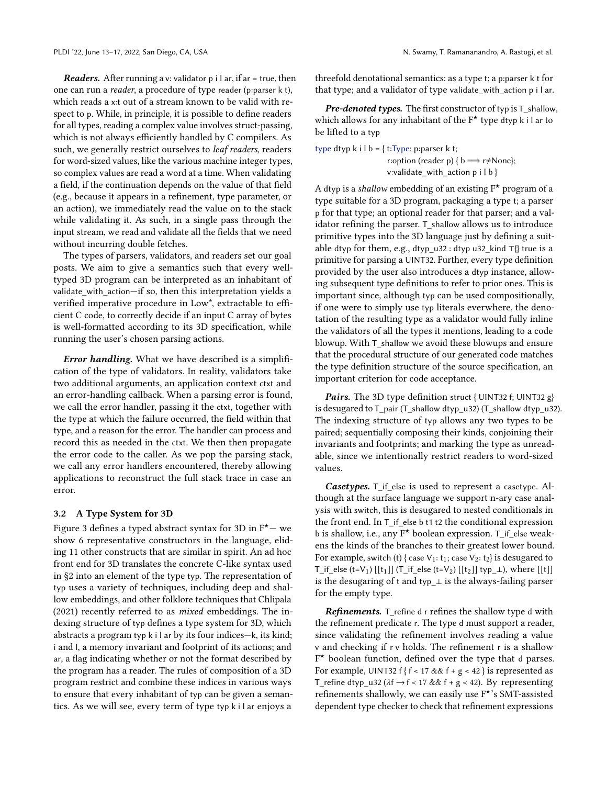**Readers.** After running a v: validator p i l ar, if ar = true, then one can run a reader, a procedure of type reader (p:parser k t), which reads a x:t out of a stream known to be valid with respect to p. While, in principle, it is possible to define readers for all types, reading a complex value involves struct-passing, which is not always efficiently handled by C compilers. As such, we generally restrict ourselves to leaf readers, readers for word-sized values, like the various machine integer types, so complex values are read a word at a time. When validating a field, if the continuation depends on the value of that field (e.g., because it appears in a refinement, type parameter, or an action), we immediately read the value on to the stack while validating it. As such, in a single pass through the input stream, we read and validate all the fields that we need without incurring double fetches.

The types of parsers, validators, and readers set our goal posts. We aim to give a semantics such that every welltyped 3D program can be interpreted as an inhabitant of validate\_with\_action—if so, then this interpretation yields a verified imperative procedure in Low\*, extractable to efficient C code, to correctly decide if an input C array of bytes is well-formatted according to its 3D specification, while running the user's chosen parsing actions.

Error handling. What we have described is a simplification of the type of validators. In reality, validators take two additional arguments, an application context ctxt and an error-handling callback. When a parsing error is found, we call the error handler, passing it the ctxt, together with the type at which the failure occurred, the field within that type, and a reason for the error. The handler can process and record this as needed in the ctxt. We then then propagate the error code to the caller. As we pop the parsing stack, we call any error handlers encountered, thereby allowing applications to reconstruct the full stack trace in case an error.

#### <span id="page-7-0"></span>3.2 A Type System for 3D

Figure [3](#page-8-1) defines a typed abstract syntax for 3D in  $F^*$ — we show 6 representative constructors in the language, eliding 11 other constructs that are similar in spirit. An ad hoc front end for 3D translates the concrete C-like syntax used in [§2](#page-2-0) into an element of the type typ. The representation of typ uses a variety of techniques, including deep and shallow embeddings, and other folklore techniques that [Chlipala](#page-13-2) [\(2021\)](#page-13-2) recently referred to as mixed embeddings. The indexing structure of typ defines a type system for 3D, which abstracts a program typ k i l ar by its four indices—k, its kind; i and l, a memory invariant and footprint of its actions; and ar, a flag indicating whether or not the format described by the program has a reader. The rules of composition of a 3D program restrict and combine these indices in various ways to ensure that every inhabitant of typ can be given a semantics. As we will see, every term of type typ k i l ar enjoys a

threefold denotational semantics: as a type t; a p:parser k t for that type; and a validator of type validate with action p i l ar.

Pre-denoted types. The first constructor of typ is T\_shallow, which allows for any inhabitant of the  $F^*$  type dtyp k i l ar to be lifted to a typ

type dtyp k i l b = { t:Type; p:parser k t; r:option (reader p) {  $b \implies r \neq$ None}; v:validate\_with\_action p i l b }

A dtyp is a shallow embedding of an existing  $F^*$  program of a type suitable for a 3D program, packaging a type t; a parser p for that type; an optional reader for that parser; and a validator refining the parser. T\_shallow allows us to introduce primitive types into the 3D language just by defining a suitable dtyp for them, e.g., dtyp\_u32 : dtyp u32 kind ⊤{} true is a primitive for parsing a UINT32. Further, every type definition provided by the user also introduces a dtyp instance, allowing subsequent type definitions to refer to prior ones. This is important since, although typ can be used compositionally, if one were to simply use typ literals everwhere, the denotation of the resulting type as a validator would fully inline the validators of all the types it mentions, leading to a code blowup. With T\_shallow we avoid these blowups and ensure that the procedural structure of our generated code matches the type definition structure of the source specification, an important criterion for code acceptance.

Pairs. The 3D type definition struct { UINT32 f; UINT32 g} is desugared to T\_pair (T\_shallow dtyp\_u32) (T\_shallow dtyp\_u32). The indexing structure of typ allows any two types to be paired; sequentially composing their kinds, conjoining their invariants and footprints; and marking the type as unreadable, since we intentionally restrict readers to word-sized values.

Casetypes. T\_if\_else is used to represent a casetype. Although at the surface language we support n-ary case analysis with switch, this is desugared to nested conditionals in the front end. In T\_if\_else b t1 t2 the conditional expression <sup>b</sup> is shallow, i.e., any F★ boolean expression. T\_if\_else weakens the kinds of the branches to their greatest lower bound. For example, switch (t) { case  $V_1: t_1$ ; case  $V_2: t_2$ } is desugared to T\_if\_else (t=V<sub>1</sub>) [[t<sub>1</sub>]] (T\_if\_else (t=V<sub>2</sub>) [[t<sub>2</sub>]] typ\_ $\perp$ ), where [[t]] is the desugaring of t and typ\_ $\perp$  is the always-failing parser for the empty type.

**Refinements.** T\_refine d r refines the shallow type d with the refinement predicate r. The type d must support a reader, since validating the refinement involves reading a value v and checking if r v holds. The refinement r is a shallow F ★ boolean function, defined over the type that <sup>d</sup> parses. For example, UINT32 f { $f < 17$  &&  $f + g < 42$ } is represented as T\_refine dtyp\_u32 ( $\lambda$ f  $\rightarrow$  f < 17 && f + g < 42). By representing refinements shallowly, we can easily use F★'s SMT-assisted dependent type checker to check that refinement expressions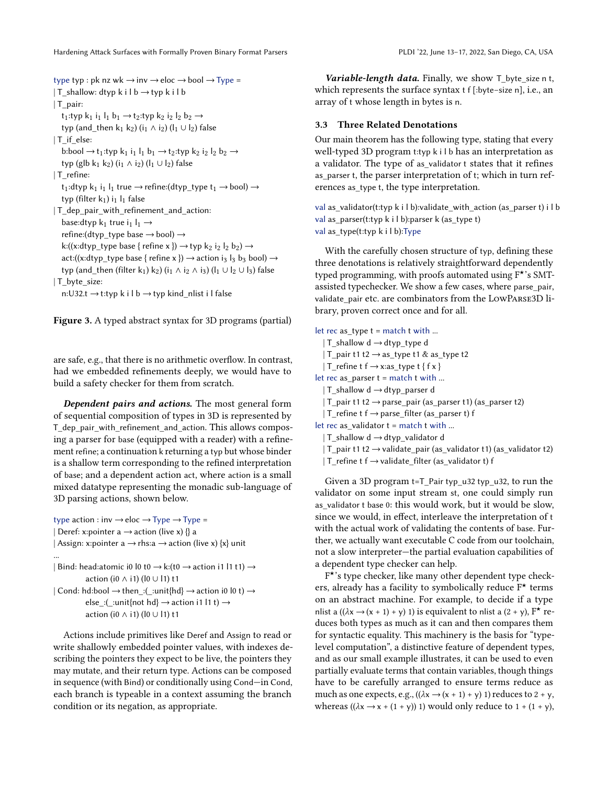<span id="page-8-1"></span>type typ : pk nz wk  $\rightarrow$  inv  $\rightarrow$  eloc  $\rightarrow$  bool  $\rightarrow$  Type = | T\_shallow: dtyp k i l b  $\rightarrow$  typ k i l b | T\_pair:  $t_1$ :typ  $k_1$  i<sub>1</sub>  $l_1$   $b_1 \rightarrow t_2$ :typ  $k_2$  i<sub>2</sub>  $l_2$   $b_2 \rightarrow$ typ (and\_then k<sub>1</sub> k<sub>2</sub>) (i<sub>1</sub> ∧ i<sub>2</sub>) (l<sub>1</sub> ∪ l<sub>2</sub>) false | T\_if\_else: b:bool  $\rightarrow$  t<sub>1</sub>:typ k<sub>1</sub> i<sub>1</sub> l<sub>1</sub> b<sub>1</sub>  $\rightarrow$  t<sub>2</sub>:typ k<sub>2</sub> i<sub>2</sub> l<sub>2</sub> b<sub>2</sub>  $\rightarrow$ typ (glb k<sub>1</sub> k<sub>2</sub>) (i<sub>1</sub> ∧ i<sub>2</sub>) (l<sub>1</sub> ∪ l<sub>2</sub>) false | T\_refine: t<sub>1</sub>:dtyp k<sub>1</sub> i<sub>1</sub> l<sub>1</sub> true  $\rightarrow$  refine:(dtyp\_type t<sub>1</sub>  $\rightarrow$  bool)  $\rightarrow$ typ (filter  $k_1$ ) i<sub>1</sub> l<sub>1</sub> false | T\_dep\_pair\_with\_refinement\_and\_action: base: dtyp  $k_1$  true  $i_1$   $l_1 \rightarrow$ refine:(dtyp\_type base  $\rightarrow$  bool)  $\rightarrow$ k:((x:dtyp\_type base { refine x })  $\rightarrow$  typ k<sub>2</sub> i<sub>2</sub> l<sub>2</sub> b<sub>2</sub>)  $\rightarrow$ act:((x:dtyp\_type base { refine x })  $\rightarrow$  action i<sub>3</sub> l<sub>3</sub> b<sub>3</sub> bool)  $\rightarrow$ typ (and\_then (filter k<sub>1</sub>) k<sub>2</sub>) (i<sub>1</sub> ∧ i<sub>2</sub> ∧ i<sub>3</sub>) (l<sub>1</sub> ∪ l<sub>2</sub> ∪ l<sub>3</sub>) false | T\_byte\_size: n:U32.t  $\rightarrow$  t:typ k i l b  $\rightarrow$  typ kind\_nlist i l false

Figure 3. A typed abstract syntax for 3D programs (partial)

are safe, e.g., that there is no arithmetic overflow. In contrast, had we embedded refinements deeply, we would have to build a safety checker for them from scratch.

Dependent pairs and actions. The most general form of sequential composition of types in 3D is represented by T dep pair with refinement and action. This allows composing a parser for base (equipped with a reader) with a refinement refine; a continuation k returning a typ but whose binder is a shallow term corresponding to the refined interpretation of base; and a dependent action act, where action is a small mixed datatype representing the monadic sub-language of 3D parsing actions, shown below.

```
type action : inv \rightarrow eloc \rightarrow Type \rightarrow Type =
| Deref: x:pointer a \rightarrow action (live x) {} a
| Assign: x:pointer a \rightarrow rhs:a \rightarrow action (live x) {x} unit
...
| Bind: head: atomic i0 l0 t0 \rightarrow k:(t0 \rightarrow action i1 l1 t1) \rightarrowaction (i0 ∧ i1) (l0 ∪ l1) t1
| Cond: hd:bool \rightarrow then_:(_:unit{hd} \rightarrow action i0 l0 t) \rightarrowelse :( :unit{not hd} \rightarrow action i1 l1 t) \rightarrowaction (i0 ∧ i1) (l0 ∪ l1) t1
```
Actions include primitives like Deref and Assign to read or write shallowly embedded pointer values, with indexes describing the pointers they expect to be live, the pointers they may mutate, and their return type. Actions can be composed in sequence (with Bind) or conditionally using Cond—in Cond, each branch is typeable in a context assuming the branch condition or its negation, as appropriate.

Variable-length data. Finally, we show  $T$  byte size n t, which represents the surface syntax t f [:byte−size n], i.e., an array of t whose length in bytes is n.

#### <span id="page-8-0"></span>3.3 Three Related Denotations

Our main theorem has the following type, stating that every well-typed 3D program t:typ k i l b has an interpretation as a validator. The type of as\_validator t states that it refines as parser t, the parser interpretation of t; which in turn references as\_type t, the type interpretation.

val as\_validator(t:typ k i l b):validate\_with\_action (as\_parser t) i l b val as  $parser(t:typ k i l b):parser k (as type t)$ val as  $type(t:typ k i l b):Type$ 

With the carefully chosen structure of typ, defining these three denotations is relatively straightforward dependently typed programming, with proofs automated using F★'s SMTassisted typechecker. We show a few cases, where parse\_pair, validate pair etc. are combinators from the LowPARSE3D library, proven correct once and for all.

```
let rec as_type t = match t with ...
  | T_shallow d →dtyp_type d
  | T_pair t1 t2 →as_type t1 & as_type t2
  | T_refine t f \rightarrow x:as_type t { f x }
let rec as_parser t = match t with ...
  | T_shallow d \rightarrow dtyp_parser d
  | T_pair t1 t2 \rightarrow parse_pair (as_parser t1) (as_parser t2)
  | T_refine t f \rightarrow parse_filter (as_parser t) f
let rec as_validator t = match t with ...
  | T_shallow d \rightarrow dtyp_validator d
  | T_pair t1 t2 \rightarrow validate_pair (as_validator t1) (as_validator t2)
  | T_refine t f \rightarrow validate_filter (as_validator t) f
```
Given a 3D program  $t=T$  Pair typ\_u32 typ\_u32, to run the validator on some input stream st, one could simply run as validator t base 0: this would work, but it would be slow, since we would, in effect, interleave the interpretation of t with the actual work of validating the contents of base. Further, we actually want executable C code from our toolchain, not a slow interpreter—the partial evaluation capabilities of a dependent type checker can help.

F ★'s type checker, like many other dependent type checkers, already has a facility to symbolically reduce F★ terms on an abstract machine. For example, to decide if a type nlist a  $((\lambda x \rightarrow (x + 1) + y) 1)$  is equivalent to nlist a  $(2 + y)$ ,  $F^*$  reduces both types as much as it can and then compares them for syntactic equality. This machinery is the basis for "typelevel computation", a distinctive feature of dependent types, and as our small example illustrates, it can be used to even partially evaluate terms that contain variables, though things have to be carefully arranged to ensure terms reduce as much as one expects, e.g.,  $((\lambda x \rightarrow (x + 1) + y) 1)$  reduces to  $2 + y$ , whereas  $((\lambda x \rightarrow x + (1 + y)) 1)$  would only reduce to  $1 + (1 + y)$ ,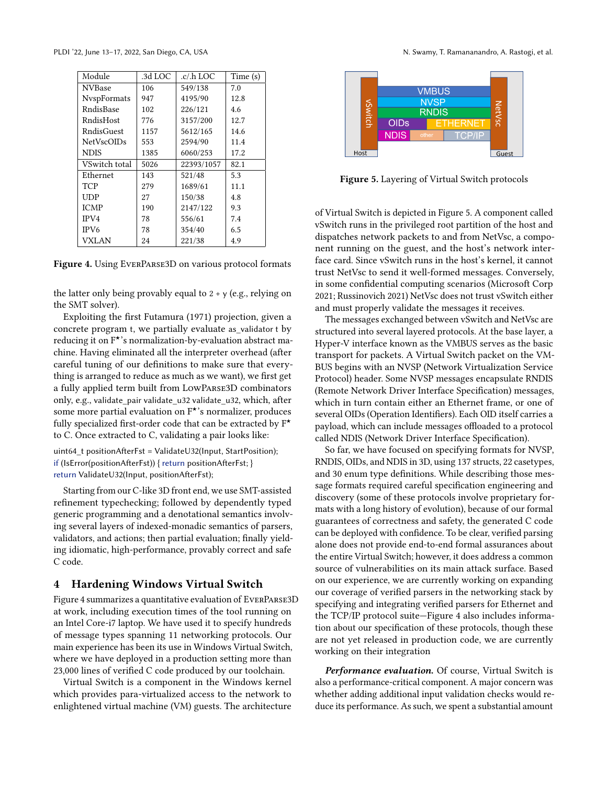<span id="page-9-0"></span>

| Module            | .3d LOC | .c/.h LOC  | Time (s) |  |  |
|-------------------|---------|------------|----------|--|--|
| <b>NVBase</b>     | 106     | 549/138    | 7.0      |  |  |
| NvspFormats       | 947     | 4195/90    | 12.8     |  |  |
| RndisBase         | 102     | 226/121    | 4.6      |  |  |
| RndisHost         | 776     | 3157/200   | 12.7     |  |  |
| RndisGuest        | 1157    | 5612/165   | 14.6     |  |  |
| <b>NetVscOIDs</b> | 553     | 2594/90    | 11.4     |  |  |
| <b>NDIS</b>       | 1385    | 6060/253   | 17.2     |  |  |
| VSwitch total     | 5026    | 22393/1057 | 82.1     |  |  |
| Ethernet          | 143     | 521/48     | 5.3      |  |  |
| <b>TCP</b>        | 279     | 1689/61    | 11.1     |  |  |
| UDP               | 27      | 150/38     | 4.8      |  |  |
| <b>ICMP</b>       | 190     | 2147/122   | 9.3      |  |  |
| IPV4              | 78      | 556/61     | 7.4      |  |  |
| IPV <sub>6</sub>  | 78      | 354/40     | 6.5      |  |  |
| VXLAN             | 24      | 221/38     | 4.9      |  |  |

Figure 4. Using EverParse3D on various protocol formats

the latter only being provably equal to  $2 + y$  (e.g., relying on the SMT solver).

Exploiting the first [Futamura \(1971\)](#page-13-1) projection, given a concrete program t, we partially evaluate as\_validator t by reducing it on F★'s normalization-by-evaluation abstract machine. Having eliminated all the interpreter overhead (after careful tuning of our definitions to make sure that everything is arranged to reduce as much as we want), we first get a fully applied term built from LowParse3D combinators only, e.g., validate\_pair validate\_u32 validate\_u32, which, after some more partial evaluation on  $F^{\star}$ 's normalizer, produces fully specialized first-order code that can be extracted by  $F^{\star}$ to C. Once extracted to C, validating a pair looks like:

uint64\_t positionAfterFst = ValidateU32(Input, StartPosition); if (IsError(positionAfterFst)) { return positionAfterFst; } return ValidateU32(Input, positionAfterFst);

Starting from our C-like 3D front end, we use SMT-assisted refinement typechecking; followed by dependently typed generic programming and a denotational semantics involving several layers of indexed-monadic semantics of parsers, validators, and actions; then partial evaluation; finally yielding idiomatic, high-performance, provably correct and safe C code.

#### 4 Hardening Windows Virtual Switch

Figure [4](#page-9-0) summarizes a quantitative evaluation of EverParse3D at work, including execution times of the tool running on an Intel Core-i7 laptop. We have used it to specify hundreds of message types spanning 11 networking protocols. Our main experience has been its use in Windows Virtual Switch, where we have deployed in a production setting more than 23,000 lines of verified C code produced by our toolchain.

Virtual Switch is a component in the Windows kernel which provides para-virtualized access to the network to enlightened virtual machine (VM) guests. The architecture

<span id="page-9-1"></span>

Figure 5. Layering of Virtual Switch protocols

of Virtual Switch is depicted in Figure [5.](#page-9-1) A component called vSwitch runs in the privileged root partition of the host and dispatches network packets to and from NetVsc, a component running on the guest, and the host's network interface card. Since vSwitch runs in the host's kernel, it cannot trust NetVsc to send it well-formed messages. Conversely, in some confidential computing scenarios [\(Microsoft Corp](#page-14-11) [2021;](#page-14-11) [Russinovich 2021\)](#page-14-12) NetVsc does not trust vSwitch either and must properly validate the messages it receives.

The messages exchanged between vSwitch and NetVsc are structured into several layered protocols. At the base layer, a Hyper-V interface known as the VMBUS serves as the basic transport for packets. A Virtual Switch packet on the VM-BUS begins with an NVSP (Network Virtualization Service Protocol) header. Some NVSP messages encapsulate RNDIS (Remote Network Driver Interface Specification) messages, which in turn contain either an Ethernet frame, or one of several OIDs (Operation Identifiers). Each OID itself carries a payload, which can include messages offloaded to a protocol called NDIS (Network Driver Interface Specification).

So far, we have focused on specifying formats for NVSP, RNDIS, OIDs, and NDIS in 3D, using 137 structs, 22 casetypes, and 30 enum type definitions. While describing those message formats required careful specification engineering and discovery (some of these protocols involve proprietary formats with a long history of evolution), because of our formal guarantees of correctness and safety, the generated C code can be deployed with confidence. To be clear, verified parsing alone does not provide end-to-end formal assurances about the entire Virtual Switch; however, it does address a common source of vulnerabilities on its main attack surface. Based on our experience, we are currently working on expanding our coverage of verified parsers in the networking stack by specifying and integrating verified parsers for Ethernet and the TCP/IP protocol suite—Figure [4](#page-9-0) also includes information about our specification of these protocols, though these are not yet released in production code, we are currently working on their integration

Performance evaluation. Of course, Virtual Switch is also a performance-critical component. A major concern was whether adding additional input validation checks would reduce its performance. As such, we spent a substantial amount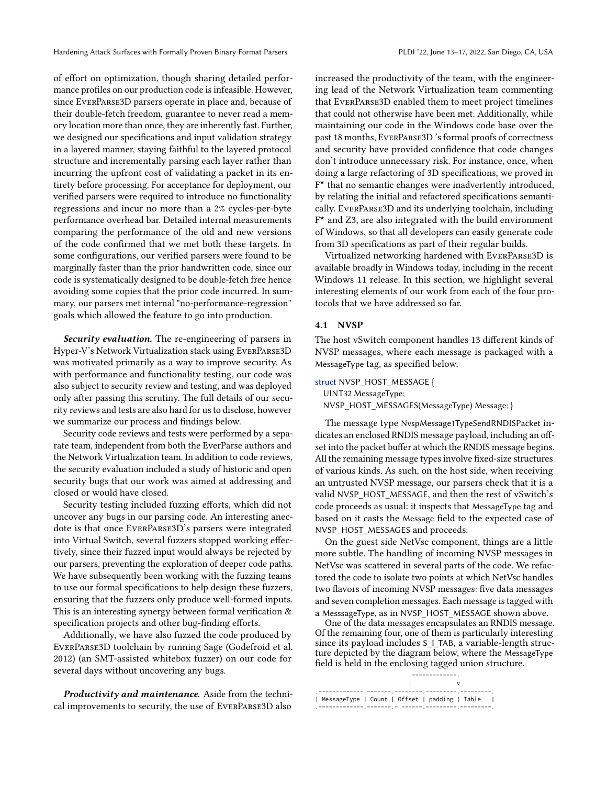of effort on optimization, though sharing detailed performance profiles on our production code is infeasible. However, since EverParse3D parsers operate in place and, because of their double-fetch freedom, guarantee to never read a memory location more than once, they are inherently fast. Further, we designed our specifications and input validation strategy in a layered manner, staying faithful to the layered protocol structure and incrementally parsing each layer rather than incurring the upfront cost of validating a packet in its entirety before processing. For acceptance for deployment, our verified parsers were required to introduce no functionality regressions and incur no more than a 2% cycles-per-byte performance overhead bar. Detailed internal measurements comparing the performance of the old and new versions of the code confirmed that we met both these targets. In some configurations, our verified parsers were found to be marginally faster than the prior handwritten code, since our code is systematically designed to be double-fetch free hence avoiding some copies that the prior code incurred. In summary, our parsers met internal "no-performance-regression" goals which allowed the feature to go into production.

Security evaluation. The re-engineering of parsers in Hyper-V's Network Virtualization stack using EverParse3D was motivated primarily as a way to improve security. As with performance and functionality testing, our code was also subject to security review and testing, and was deployed only after passing this scrutiny. The full details of our security reviews and tests are also hard for us to disclose, however we summarize our process and findings below.

Security code reviews and tests were performed by a separate team, independent from both the EverParse authors and the Network Virtualization team. In addition to code reviews, the security evaluation included a study of historic and open security bugs that our work was aimed at addressing and closed or would have closed.

Security testing included fuzzing efforts, which did not uncover any bugs in our parsing code. An interesting anecdote is that once EverParse3D's parsers were integrated into Virtual Switch, several fuzzers stopped working effectively, since their fuzzed input would always be rejected by our parsers, preventing the exploration of deeper code paths. We have subsequently been working with the fuzzing teams to use our formal specifications to help design these fuzzers, ensuring that the fuzzers only produce well-formed inputs. This is an interesting synergy between formal verification & specification projects and other bug-finding efforts.

Additionally, we have also fuzzed the code produced by EverParse3D toolchain by running Sage [\(Godefroid et al.](#page-13-3) [2012\)](#page-13-3) (an SMT-assisted whitebox fuzzer) on our code for several days without uncovering any bugs.

Productivity and maintenance. Aside from the technical improvements to security, the use of EverParse3D also

increased the productivity of the team, with the engineering lead of the Network Virtualization team commenting that EverParse3D enabled them to meet project timelines that could not otherwise have been met. Additionally, while maintaining our code in the Windows code base over the past 18 months, EverParse3D 's formal proofs of correctness and security have provided confidence that code changes don't introduce unnecessary risk. For instance, once, when doing a large refactoring of 3D specifications, we proved in F ★ that no semantic changes were inadvertently introduced, by relating the initial and refactored specifications semantically. EverParse3D and its underlying toolchain, including F ★ and Z3, are also integrated with the build environment of Windows, so that all developers can easily generate code from 3D specifications as part of their regular builds.

Virtualized networking hardened with EverParse3D is available broadly in Windows today, including in the recent Windows 11 release. In this section, we highlight several interesting elements of our work from each of the four protocols that we have addressed so far.

#### 4.1 NVSP

The host vSwitch component handles 13 different kinds of NVSP messages, where each message is packaged with a MessageType tag, as specified below.

```
struct NVSP_HOST_MESSAGE {
 UINT32 MessageType;
  NVSP_HOST_MESSAGES(MessageType) Message; }
```
The message type NvspMessage1TypeSendRNDISPacket indicates an enclosed RNDIS message payload, including an offset into the packet buffer at which the RNDIS message begins. All the remaining message types involve fixed-size structures of various kinds. As such, on the host side, when receiving an untrusted NVSP message, our parsers check that it is a valid NVSP\_HOST\_MESSAGE, and then the rest of vSwitch's code proceeds as usual: it inspects that MessageType tag and based on it casts the Message field to the expected case of NVSP\_HOST\_MESSAGES and proceeds.

On the guest side NetVsc component, things are a little more subtle. The handling of incoming NVSP messages in NetVsc was scattered in several parts of the code. We refactored the code to isolate two points at which NetVsc handles two flavors of incoming NVSP messages: five data messages and seven completion messages. Each message is tagged with a MesssageType, as in NVSP\_HOST\_MESSAGE shown above.

One of the data messages encapsulates an RNDIS message. Of the remaining four, one of them is particularly interesting since its payload includes S\_I\_TAB, a variable-length structure depicted by the diagram below, where the MessageType field is held in the enclosing tagged union structure.

| MessageType   Count   Offset   padding   Table |  |  |  |
|------------------------------------------------|--|--|--|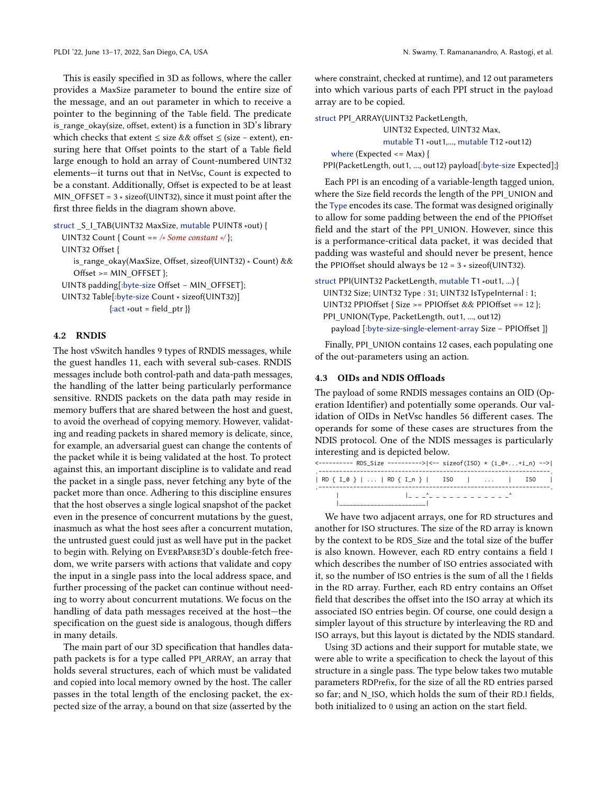This is easily specified in 3D as follows, where the caller provides a MaxSize parameter to bound the entire size of the message, and an out parameter in which to receive a pointer to the beginning of the Table field. The predicate is range okay(size, offset, extent) is a function in 3D's library which checks that extent ≤ size && offset ≤ (size − extent), ensuring here that Offset points to the start of a Table field large enough to hold an array of Count-numbered UINT32 elements—it turns out that in NetVsc, Count is expected to be a constant. Additionally, Offset is expected to be at least MIN\_OFFSET = 3 ∗ sizeof(UINT32), since it must point after the first three fields in the diagram shown above.

struct \_S\_I\_TAB(UINT32 MaxSize, mutable PUINT8 ∗out) {

UINT32 Count { Count == /\* Some constant \*/};

UINT32 Offset {

is\_range\_okay(MaxSize, Offset, sizeof(UINT32) ∗ Count) && Offset >= MIN\_OFFSET };

UINT8 padding[:byte-size Offset − MIN\_OFFSET];

UINT32 Table[:byte-size Count ∗ sizeof(UINT32)]  $\{ \text{:act} * \text{out} = \text{field} \text{ptr} \}$ 

#### 4.2 RNDIS

The host vSwitch handles 9 types of RNDIS messages, while the guest handles 11, each with several sub-cases. RNDIS messages include both control-path and data-path messages, the handling of the latter being particularly performance sensitive. RNDIS packets on the data path may reside in memory buffers that are shared between the host and guest, to avoid the overhead of copying memory. However, validating and reading packets in shared memory is delicate, since, for example, an adversarial guest can change the contents of the packet while it is being validated at the host. To protect against this, an important discipline is to validate and read the packet in a single pass, never fetching any byte of the packet more than once. Adhering to this discipline ensures that the host observes a single logical snapshot of the packet even in the presence of concurrent mutations by the guest, inasmuch as what the host sees after a concurrent mutation, the untrusted guest could just as well have put in the packet to begin with. Relying on EverParse3D's double-fetch freedom, we write parsers with actions that validate and copy the input in a single pass into the local address space, and further processing of the packet can continue without needing to worry about concurrent mutations. We focus on the handling of data path messages received at the host—the specification on the guest side is analogous, though differs in many details.

The main part of our 3D specification that handles datapath packets is for a type called PPI\_ARRAY, an array that holds several structures, each of which must be validated and copied into local memory owned by the host. The caller passes in the total length of the enclosing packet, the expected size of the array, a bound on that size (asserted by the

where constraint, checked at runtime), and 12 out parameters into which various parts of each PPI struct in the payload array are to be copied.

struct PPI\_ARRAY(UINT32 PacketLength,

UINT32 Expected, UINT32 Max, mutable T1 ∗out1,..., mutable T12 ∗out12) where (Expected  $\leq$  Max) { PPI(PacketLength, out1, ..., out12) payload[:byte-size Expected];}

Each PPI is an encoding of a variable-length tagged union, where the Size field records the length of the PPI\_UNION and the Type encodes its case. The format was designed originally to allow for some padding between the end of the PPIOffset field and the start of the PPI\_UNION. However, since this is a performance-critical data packet, it was decided that padding was wasteful and should never be present, hence the PPIOffset should always be  $12 = 3 * sizeof(UINT32)$ .

struct PPI(UINT32 PacketLength, mutable T1 ∗out1, ...) { UINT32 Size; UINT32 Type : 31; UINT32 IsTypeInternal : 1; UINT32 PPIOffset { Size >= PPIOffset && PPIOffset == 12 }; PPI\_UNION(Type, PacketLength, out1, ..., out12) payload [:byte-size-single-element-array Size − PPIOffset ]}

Finally, PPI\_UNION contains 12 cases, each populating one of the out-parameters using an action.

#### <span id="page-11-0"></span>4.3 OIDs and NDIS Offloads

The payload of some RNDIS messages contains an OID (Operation Identifier) and potentially some operands. Our validation of OIDs in NetVsc handles 56 different cases. The operands for some of these cases are structures from the NDIS protocol. One of the NDIS messages is particularly interesting and is depicted below.

| <---------- RDS_Size ---------> <-- sizeof(ISO) * (i_0++i_n) --> |                                |  |  |  |
|------------------------------------------------------------------|--------------------------------|--|--|--|
| $ RD { I_0 }      RD { I_n }  $ ISO $    $ ISO $ $               |                                |  |  |  |
|                                                                  | 12 2 2^2 2 2 2 2 2 2 2 2 2 2 2 |  |  |  |

We have two adjacent arrays, one for RD structures and another for ISO structures. The size of the RD array is known by the context to be RDS\_Size and the total size of the buffer is also known. However, each RD entry contains a field I which describes the number of ISO entries associated with it, so the number of ISO entries is the sum of all the I fields in the RD array. Further, each RD entry contains an Offset field that describes the offset into the ISO array at which its associated ISO entries begin. Of course, one could design a simpler layout of this structure by interleaving the RD and ISO arrays, but this layout is dictated by the NDIS standard.

Using 3D actions and their support for mutable state, we were able to write a specification to check the layout of this structure in a single pass. The type below takes two mutable parameters RDPrefix, for the size of all the RD entries parsed so far; and N\_ISO, which holds the sum of their RD.I fields, both initialized to 0 using an action on the start field.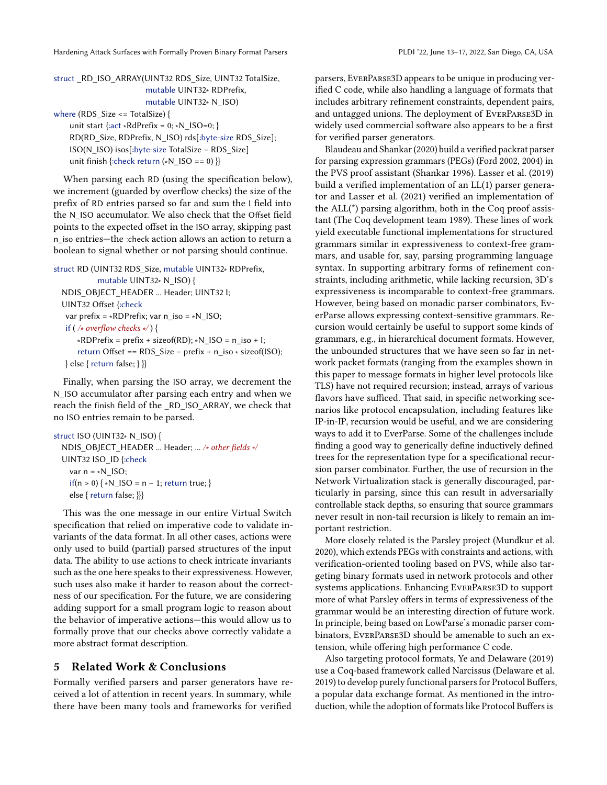# struct RD\_ISO\_ARRAY(UINT32 RDS\_Size, UINT32 TotalSize, mutable UINT32∗ RDPrefix, mutable UINT32∗ N\_ISO)

where (RDS\_Size <= TotalSize) {

unit start {:act ∗RdPrefix = 0; ∗N\_ISO=0; } RD(RD\_Size, RDPrefix, N\_ISO) rds[:byte-size RDS\_Size]; ISO(N\_ISO) isos[:byte-size TotalSize − RDS\_Size] unit finish {:check return (∗N\_ISO == 0) }}

When parsing each RD (using the specification below), we increment (guarded by overflow checks) the size of the prefix of RD entries parsed so far and sum the I field into the N\_ISO accumulator. We also check that the Offset field points to the expected offset in the ISO array, skipping past n\_iso entries—the :check action allows an action to return a boolean to signal whether or not parsing should continue.

```
struct RD (UINT32 RDS_Size, mutable UINT32∗ RDPrefix,
           mutable UINT32∗ N_ISO) {
  NDIS_OBJECT_HEADER ... Header; UINT32 I;
  UINT32 Offset {:check
   var prefix = ∗RDPrefix; var n_iso = ∗N_ISO;
   if ( /∗ overflow checks ∗/ ) {
      *RDPrefix = prefix + sizeof(RD); *N ISO = n iso + 1;return Offset == RDS_Size − prefix + n_iso ∗ sizeof(ISO);
   } else { return false; } }}
```
Finally, when parsing the ISO array, we decrement the N\_ISO accumulator after parsing each entry and when we reach the finish field of the \_RD\_ISO\_ARRAY, we check that no ISO entries remain to be parsed.

```
struct ISO (UINT32∗ N_ISO) {
  NDIS_OBJECT_HEADER ... Header; ... /∗ other fields ∗/
  UINT32 ISO_ID {:check
    var n = *N ISO;
    if(n > 0) { *N_<sub>1</sub> } SO = n − 1; return true; }
    else { return false; }}}
```
This was the one message in our entire Virtual Switch specification that relied on imperative code to validate invariants of the data format. In all other cases, actions were only used to build (partial) parsed structures of the input data. The ability to use actions to check intricate invariants such as the one here speaks to their expressiveness. However, such uses also make it harder to reason about the correctness of our specification. For the future, we are considering adding support for a small program logic to reason about the behavior of imperative actions—this would allow us to formally prove that our checks above correctly validate a more abstract format description.

## 5 Related Work & Conclusions

Formally verified parsers and parser generators have received a lot of attention in recent years. In summary, while there have been many tools and frameworks for verified

parsers, EverParse3D appears to be unique in producing verified C code, while also handling a language of formats that includes arbitrary refinement constraints, dependent pairs, and untagged unions. The deployment of EverParse3D in widely used commercial software also appears to be a first for verified parser generators.

[Blaudeau and Shankar \(2020\)](#page-13-4) build a verified packrat parser for parsing expression grammars (PEGs) [\(Ford 2002,](#page-13-5) [2004\)](#page-13-6) in the PVS proof assistant [\(Shankar 1996\)](#page-14-13). [Lasser et al.](#page-13-7) [\(2019\)](#page-13-7) build a verified implementation of an LL(1) parser generator and [Lasser et al.](#page-13-8) [\(2021\)](#page-13-8) verified an implementation of the ALL(\*) parsing algorithm, both in the Coq proof assistant [\(The Coq development team 1989\)](#page-14-14). These lines of work yield executable functional implementations for structured grammars similar in expressiveness to context-free grammars, and usable for, say, parsing programming language syntax. In supporting arbitrary forms of refinement constraints, including arithmetic, while lacking recursion, 3D's expressiveness is incomparable to context-free grammars. However, being based on monadic parser combinators, EverParse allows expressing context-sensitive grammars. Recursion would certainly be useful to support some kinds of grammars, e.g., in hierarchical document formats. However, the unbounded structures that we have seen so far in network packet formats (ranging from the examples shown in this paper to message formats in higher level protocols like TLS) have not required recursion; instead, arrays of various flavors have sufficed. That said, in specific networking scenarios like protocol encapsulation, including features like IP-in-IP, recursion would be useful, and we are considering ways to add it to EverParse. Some of the challenges include finding a good way to generically define inductively defined trees for the representation type for a specificational recursion parser combinator. Further, the use of recursion in the Network Virtualization stack is generally discouraged, particularly in parsing, since this can result in adversarially controllable stack depths, so ensuring that source grammars never result in non-tail recursion is likely to remain an important restriction.

More closely related is the Parsley project [\(Mundkur et al.](#page-14-15) [2020\)](#page-14-15), which extends PEGs with constraints and actions, with verification-oriented tooling based on PVS, while also targeting binary formats used in network protocols and other systems applications. Enhancing EverParse3D to support more of what Parsley offers in terms of expressiveness of the grammar would be an interesting direction of future work. In principle, being based on LowParse's monadic parser combinators, EverParse3D should be amenable to such an extension, while offering high performance C code.

Also targeting protocol formats, [Ye and Delaware \(2019\)](#page-14-16) use a Coq-based framework called Narcissus [\(Delaware et al.](#page-13-9) [2019\)](#page-13-9) to develop purely functional parsers for Protocol Buffers, a popular data exchange format. As mentioned in the introduction, while the adoption of formats like Protocol Buffers is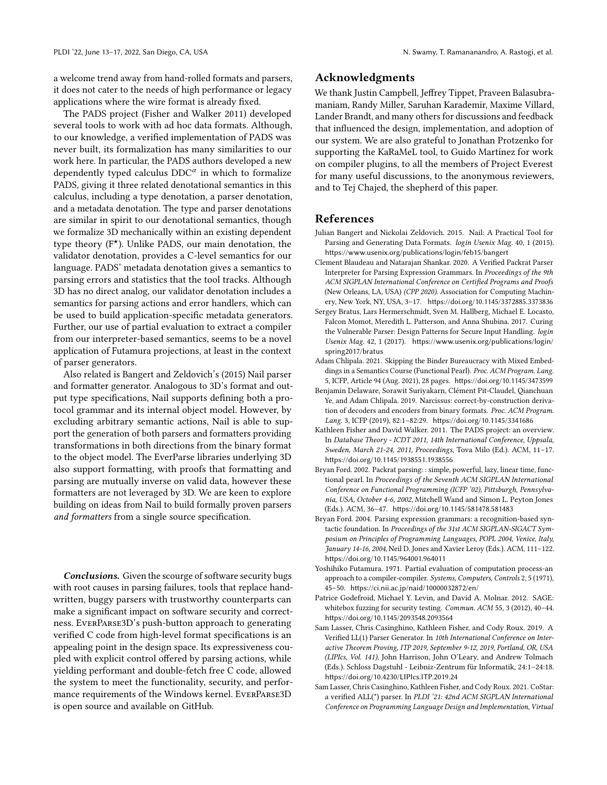a welcome trend away from hand-rolled formats and parsers, it does not cater to the needs of high performance or legacy applications where the wire format is already fixed.

The PADS project [\(Fisher and Walker 2011\)](#page-13-10) developed several tools to work with ad hoc data formats. Although, to our knowledge, a verified implementation of PADS was never built, its formalization has many similarities to our work here. In particular, the PADS authors developed a new dependently typed calculus  $DDC^{\alpha}$  in which to formalize PADS, giving it three related denotational semantics in this calculus, including a type denotation, a parser denotation, and a metadata denotation. The type and parser denotations are similar in spirit to our denotational semantics, though we formalize 3D mechanically within an existing dependent type theory  $(F^{\star})$ . Unlike PADS, our main denotation, the validator denotation, provides a C-level semantics for our language. PADS' metadata denotation gives a semantics to parsing errors and statistics that the tool tracks. Although 3D has no direct analog, our validator denotation includes a semantics for parsing actions and error handlers, which can be used to build application-specific metadata generators. Further, our use of partial evaluation to extract a compiler from our interpreter-based semantics, seems to be a novel application of Futamura projections, at least in the context of parser generators.

Also related is [Bangert and Zeldovich'](#page-13-11)s [\(2015\)](#page-13-11) Nail parser and formatter generator. Analogous to 3D's format and output type specifications, Nail supports defining both a protocol grammar and its internal object model. However, by excluding arbitrary semantic actions, Nail is able to support the generation of both parsers and formatters providing transformations in both directions from the binary format to the object model. The EverParse libraries underlying 3D also support formatting, with proofs that formatting and parsing are mutually inverse on valid data, however these formatters are not leveraged by 3D. We are keen to explore building on ideas from Nail to build formally proven parsers and formatters from a single source specification.

**Conclusions.** Given the scourge of software security bugs with root causes in parsing failures, tools that replace handwritten, buggy parsers with trustworthy counterparts can make a significant impact on software security and correctness. EverParse3D's push-button approach to generating verified C code from high-level format specifications is an appealing point in the design space. Its expressiveness coupled with explicit control offered by parsing actions, while yielding performant and double-fetch free C code, allowed the system to meet the functionality, security, and performance requirements of the Windows kernel. EverParse3D is open source and available on GitHub.

## Acknowledgments

We thank Justin Campbell, Jeffrey Tippet, Praveen Balasubramaniam, Randy Miller, Saruhan Karademir, Maxime Villard, Lander Brandt, and many others for discussions and feedback that influenced the design, implementation, and adoption of our system. We are also grateful to Jonathan Protzenko for supporting the KaRaMeL tool, to Guido Martínez for work on compiler plugins, to all the members of Project Everest for many useful discussions, to the anonymous reviewers, and to Tej Chajed, the shepherd of this paper.

## References

- <span id="page-13-11"></span>Julian Bangert and Nickolai Zeldovich. 2015. Nail: A Practical Tool for Parsing and Generating Data Formats. login Usenix Mag. 40, 1 (2015). <https://www.usenix.org/publications/login/feb15/bangert>
- <span id="page-13-4"></span>Clement Blaudeau and Natarajan Shankar. 2020. A Verified Packrat Parser Interpreter for Parsing Expression Grammars. In Proceedings of the 9th ACM SIGPLAN International Conference on Certified Programs and Proofs (New Orleans, LA, USA) (CPP 2020). Association for Computing Machinery, New York, NY, USA, 3–17. <https://doi.org/10.1145/3372885.3373836>
- <span id="page-13-0"></span>Sergey Bratus, Lars Hermerschmidt, Sven M. Hallberg, Michael E. Locasto, Falcon Momot, Meredith L. Patterson, and Anna Shubina. 2017. Curing the Vulnerable Parser: Design Patterns for Secure Input Handling. login Usenix Mag. 42, 1 (2017). [https://www.usenix.org/publications/login/](https://www.usenix.org/publications/login/spring2017/bratus) [spring2017/bratus](https://www.usenix.org/publications/login/spring2017/bratus)
- <span id="page-13-2"></span>Adam Chlipala. 2021. Skipping the Binder Bureaucracy with Mixed Embeddings in a Semantics Course (Functional Pearl). Proc. ACM Program. Lang. 5, ICFP, Article 94 (Aug. 2021), 28 pages. <https://doi.org/10.1145/3473599>
- <span id="page-13-9"></span>Benjamin Delaware, Sorawit Suriyakarn, Clément Pit-Claudel, Qianchuan Ye, and Adam Chlipala. 2019. Narcissus: correct-by-construction derivation of decoders and encoders from binary formats. Proc. ACM Program. Lang. 3, ICFP (2019), 82:1–82:29. <https://doi.org/10.1145/3341686>
- <span id="page-13-10"></span>Kathleen Fisher and David Walker. 2011. The PADS project: an overview. In Database Theory - ICDT 2011, 14th International Conference, Uppsala, Sweden, March 21-24, 2011, Proceedings, Tova Milo (Ed.). ACM, 11–17. <https://doi.org/10.1145/1938551.1938556>
- <span id="page-13-5"></span>Bryan Ford. 2002. Packrat parsing: : simple, powerful, lazy, linear time, functional pearl. In Proceedings of the Seventh ACM SIGPLAN International Conference on Functional Programming (ICFP '02), Pittsburgh, Pennsylvania, USA, October 4-6, 2002, Mitchell Wand and Simon L. Peyton Jones (Eds.). ACM, 36–47. <https://doi.org/10.1145/581478.581483>
- <span id="page-13-6"></span>Bryan Ford. 2004. Parsing expression grammars: a recognition-based syntactic foundation. In Proceedings of the 31st ACM SIGPLAN-SIGACT Symposium on Principles of Programming Languages, POPL 2004, Venice, Italy, January 14-16, 2004, Neil D. Jones and Xavier Leroy (Eds.). ACM, 111–122. <https://doi.org/10.1145/964001.964011>
- <span id="page-13-1"></span>Yoshihiko Futamura. 1971. Partial evaluation of computation process-an approach to a compiler-compiler. Systems, Computers, Controls 2, 5 (1971), 45–50. <https://ci.nii.ac.jp/naid/10000032872/en/>
- <span id="page-13-3"></span>Patrice Godefroid, Michael Y. Levin, and David A. Molnar. 2012. SAGE: whitebox fuzzing for security testing. Commun. ACM 55, 3 (2012), 40–44. <https://doi.org/10.1145/2093548.2093564>
- <span id="page-13-7"></span>Sam Lasser, Chris Casinghino, Kathleen Fisher, and Cody Roux. 2019. A Verified LL(1) Parser Generator. In 10th International Conference on Interactive Theorem Proving, ITP 2019, September 9-12, 2019, Portland, OR, USA (LIPIcs, Vol. 141), John Harrison, John O'Leary, and Andrew Tolmach (Eds.). Schloss Dagstuhl - Leibniz-Zentrum für Informatik, 24:1–24:18. <https://doi.org/10.4230/LIPIcs.ITP.2019.24>
- <span id="page-13-8"></span>Sam Lasser, Chris Casinghino, Kathleen Fisher, and Cody Roux. 2021. CoStar: a verified ALL(\*) parser. In PLDI '21: 42nd ACM SIGPLAN International Conference on Programming Language Design and Implementation, Virtual